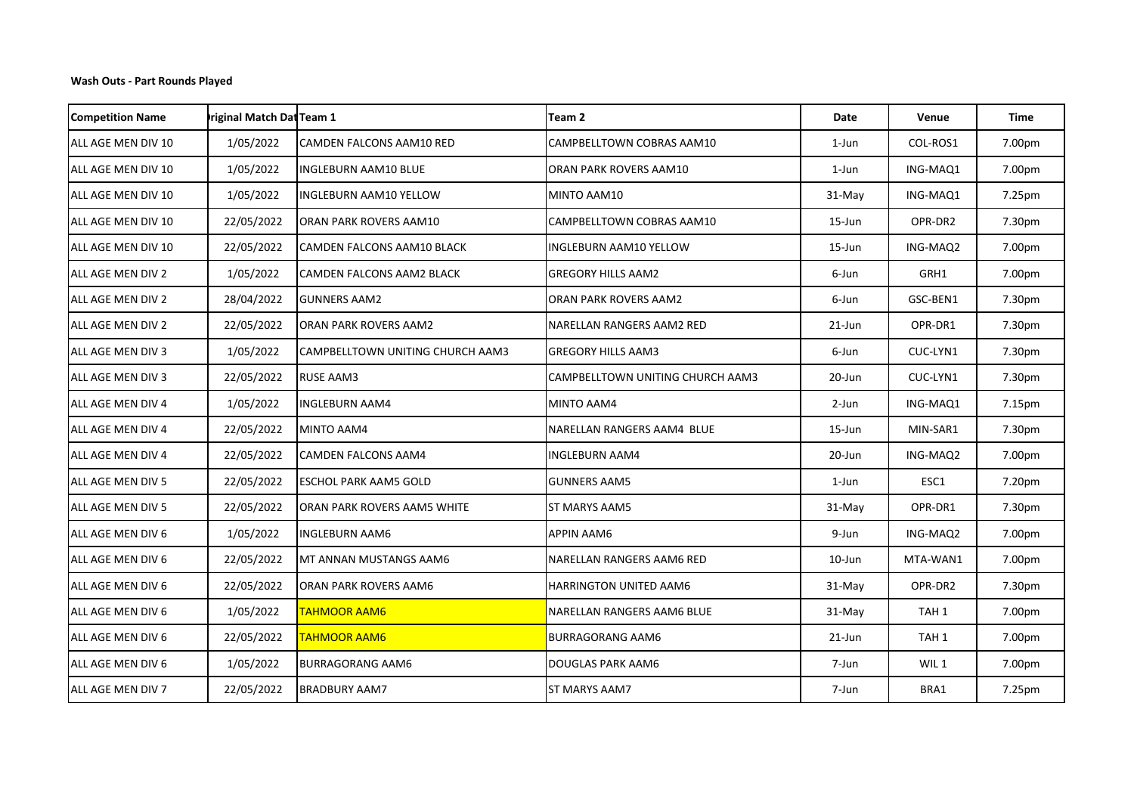| <b>Competition Name</b> | riginal Match Dat Team 1 |                                  | Team 2                            | Date      | Venue            | Time   |
|-------------------------|--------------------------|----------------------------------|-----------------------------------|-----------|------------------|--------|
| ALL AGE MEN DIV 10      | 1/05/2022                | CAMDEN FALCONS AAM10 RED         | CAMPBELLTOWN COBRAS AAM10         | 1-Jun     | COL-ROS1         | 7.00pm |
| ALL AGE MEN DIV 10      | 1/05/2022                | <b>INGLEBURN AAM10 BLUE</b>      | ORAN PARK ROVERS AAM10            | 1-Jun     | ING-MAQ1         | 7.00pm |
| ALL AGE MEN DIV 10      | 1/05/2022                | <b>INGLEBURN AAM10 YELLOW</b>    | MINTO AAM10                       | $31-May$  | ING-MAQ1         | 7.25pm |
| ALL AGE MEN DIV 10      | 22/05/2022               | ORAN PARK ROVERS AAM10           | CAMPBELLTOWN COBRAS AAM10         | 15-Jun    | OPR-DR2          | 7.30pm |
| ALL AGE MEN DIV 10      | 22/05/2022               | CAMDEN FALCONS AAM10 BLACK       | INGLEBURN AAM10 YELLOW            | $15$ -Jun | ING-MAQ2         | 7.00pm |
| ALL AGE MEN DIV 2       | 1/05/2022                | <b>CAMDEN FALCONS AAM2 BLACK</b> | <b>GREGORY HILLS AAM2</b>         | 6-Jun     | GRH1             | 7.00pm |
| ALL AGE MEN DIV 2       | 28/04/2022               | <b>GUNNERS AAM2</b>              | ORAN PARK ROVERS AAM2             | 6-Jun     | GSC-BEN1         | 7.30pm |
| ALL AGE MEN DIV 2       | 22/05/2022               | <b>ORAN PARK ROVERS AAM2</b>     | NARELLAN RANGERS AAM2 RED         | 21-Jun    | OPR-DR1          | 7.30pm |
| ALL AGE MEN DIV 3       | 1/05/2022                | CAMPBELLTOWN UNITING CHURCH AAM3 | GREGORY HILLS AAM3                | 6-Jun     | CUC-LYN1         | 7.30pm |
| ALL AGE MEN DIV 3       | 22/05/2022               | <b>RUSE AAM3</b>                 | CAMPBELLTOWN UNITING CHURCH AAM3  | 20-Jun    | CUC-LYN1         | 7.30pm |
| ALL AGE MEN DIV 4       | 1/05/2022                | <b>INGLEBURN AAM4</b>            | MINTO AAM4                        | 2-Jun     | ING-MAQ1         | 7.15pm |
| ALL AGE MEN DIV 4       | 22/05/2022               | MINTO AAM4                       | NARELLAN RANGERS AAM4 BLUE        | 15-Jun    | MIN-SAR1         | 7.30pm |
| ALL AGE MEN DIV 4       | 22/05/2022               | <b>CAMDEN FALCONS AAM4</b>       | <b>INGLEBURN AAM4</b>             | 20-Jun    | ING-MAQ2         | 7.00pm |
| ALL AGE MEN DIV 5       | 22/05/2022               | <b>ESCHOL PARK AAM5 GOLD</b>     | <b>GUNNERS AAM5</b>               | 1-Jun     | ESC1             | 7.20pm |
| ALL AGE MEN DIV 5       | 22/05/2022               | ORAN PARK ROVERS AAM5 WHITE      | ST MARYS AAM5                     | $31-May$  | OPR-DR1          | 7.30pm |
| ALL AGE MEN DIV 6       | 1/05/2022                | <b>INGLEBURN AAM6</b>            | <b>APPIN AAM6</b>                 | 9-Jun     | ING-MAQ2         | 7.00pm |
| ALL AGE MEN DIV 6       | 22/05/2022               | MT ANNAN MUSTANGS AAM6           | NARELLAN RANGERS AAM6 RED         | 10-Jun    | MTA-WAN1         | 7.00pm |
| ALL AGE MEN DIV 6       | 22/05/2022               | ORAN PARK ROVERS AAM6            | HARRINGTON UNITED AAM6            | 31-May    | OPR-DR2          | 7.30pm |
| ALL AGE MEN DIV 6       | 1/05/2022                | <b>TAHMOOR AAM6</b>              | <b>NARELLAN RANGERS AAM6 BLUE</b> | 31-May    | TAH <sub>1</sub> | 7.00pm |
| ALL AGE MEN DIV 6       | 22/05/2022               | <b>TAHMOOR AAM6</b>              | <b>BURRAGORANG AAM6</b>           | $21$ -Jun | TAH <sub>1</sub> | 7.00pm |
| ALL AGE MEN DIV 6       | 1/05/2022                | <b>BURRAGORANG AAM6</b>          | DOUGLAS PARK AAM6                 | 7-Jun     | WIL <sub>1</sub> | 7.00pm |
| ALL AGE MEN DIV 7       | 22/05/2022               | <b>BRADBURY AAM7</b>             | ST MARYS AAM7                     | 7-Jun     | BRA1             | 7.25pm |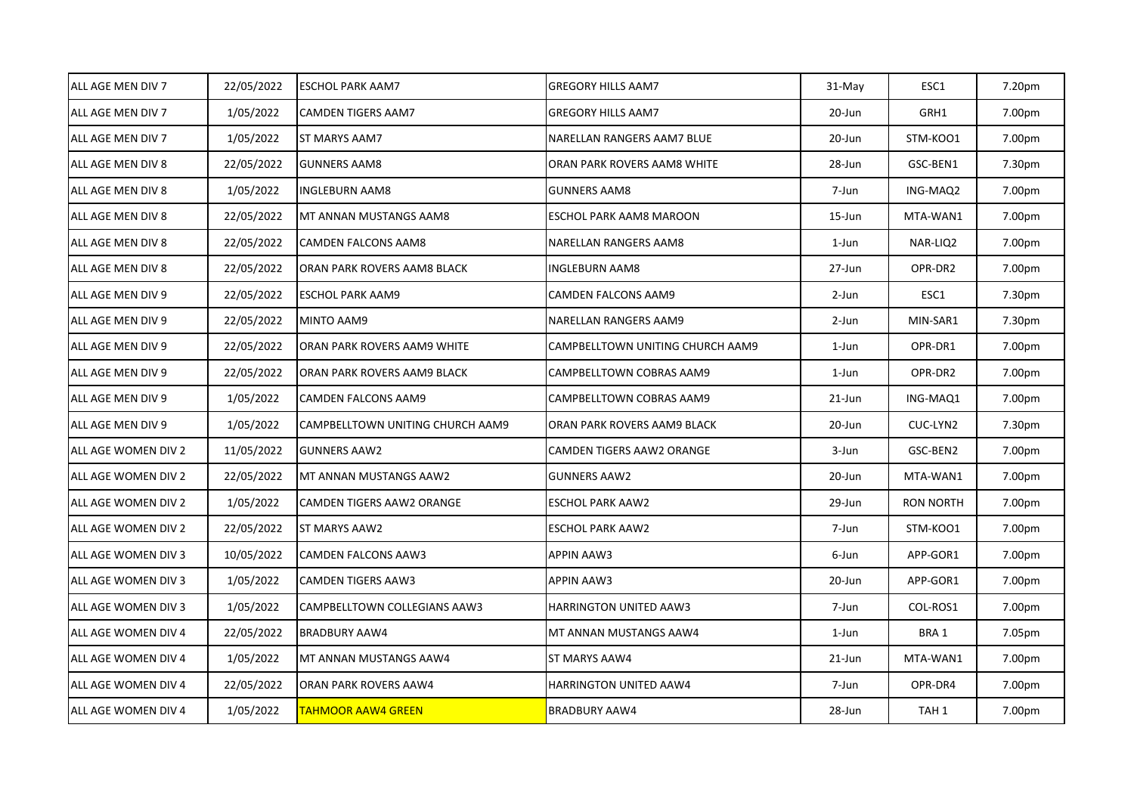| ALL AGE MEN DIV 7   | 22/05/2022 | <b>ESCHOL PARK AAM7</b>          | <b>GREGORY HILLS AAM7</b>        | 31-May | ESC1             | 7.20pm |
|---------------------|------------|----------------------------------|----------------------------------|--------|------------------|--------|
| ALL AGE MEN DIV 7   | 1/05/2022  | CAMDEN TIGERS AAM7               | <b>GREGORY HILLS AAM7</b>        | 20-Jun | GRH1             | 7.00pm |
| ALL AGE MEN DIV 7   | 1/05/2022  | ST MARYS AAM7                    | NARELLAN RANGERS AAM7 BLUE       | 20-Jun | STM-KOO1         | 7.00pm |
| ALL AGE MEN DIV 8   | 22/05/2022 | <b>GUNNERS AAM8</b>              | ORAN PARK ROVERS AAM8 WHITE      | 28-Jun | GSC-BEN1         | 7.30pm |
| ALL AGE MEN DIV 8   | 1/05/2022  | INGLEBURN AAM8                   | <b>GUNNERS AAM8</b>              | 7-Jun  | ING-MAQ2         | 7.00pm |
| ALL AGE MEN DIV 8   | 22/05/2022 | MT ANNAN MUSTANGS AAM8           | ESCHOL PARK AAM8 MAROON          | 15-Jun | MTA-WAN1         | 7.00pm |
| ALL AGE MEN DIV 8   | 22/05/2022 | CAMDEN FALCONS AAM8              | NARELLAN RANGERS AAM8            | 1-Jun  | NAR-LIQ2         | 7.00pm |
| ALL AGE MEN DIV 8   | 22/05/2022 | ORAN PARK ROVERS AAM8 BLACK      | <b>INGLEBURN AAM8</b>            | 27-Jun | OPR-DR2          | 7.00pm |
| ALL AGE MEN DIV 9   | 22/05/2022 | <b>ESCHOL PARK AAM9</b>          | CAMDEN FALCONS AAM9              | 2-Jun  | ESC1             | 7.30pm |
| ALL AGE MEN DIV 9   | 22/05/2022 | MINTO AAM9                       | NARELLAN RANGERS AAM9            | 2-Jun  | MIN-SAR1         | 7.30pm |
| ALL AGE MEN DIV 9   | 22/05/2022 | ORAN PARK ROVERS AAM9 WHITE      | CAMPBELLTOWN UNITING CHURCH AAM9 | 1-Jun  | OPR-DR1          | 7.00pm |
| ALL AGE MEN DIV 9   | 22/05/2022 | ORAN PARK ROVERS AAM9 BLACK      | CAMPBELLTOWN COBRAS AAM9         | 1-Jun  | OPR-DR2          | 7.00pm |
| ALL AGE MEN DIV 9   | 1/05/2022  | CAMDEN FALCONS AAM9              | CAMPBELLTOWN COBRAS AAM9         | 21-Jun | ING-MAQ1         | 7.00pm |
| ALL AGE MEN DIV 9   | 1/05/2022  | CAMPBELLTOWN UNITING CHURCH AAM9 | ORAN PARK ROVERS AAM9 BLACK      | 20-Jun | CUC-LYN2         | 7.30pm |
| ALL AGE WOMEN DIV 2 | 11/05/2022 | <b>GUNNERS AAW2</b>              | CAMDEN TIGERS AAW2 ORANGE        | 3-Jun  | GSC-BEN2         | 7.00pm |
| ALL AGE WOMEN DIV 2 | 22/05/2022 | MT ANNAN MUSTANGS AAW2           | <b>GUNNERS AAW2</b>              | 20-Jun | MTA-WAN1         | 7.00pm |
| ALL AGE WOMEN DIV 2 | 1/05/2022  | CAMDEN TIGERS AAW2 ORANGE        | <b>ESCHOL PARK AAW2</b>          | 29-Jun | <b>RON NORTH</b> | 7.00pm |
| ALL AGE WOMEN DIV 2 | 22/05/2022 | ST MARYS AAW2                    | <b>ESCHOL PARK AAW2</b>          | 7-Jun  | STM-KOO1         | 7.00pm |
| ALL AGE WOMEN DIV 3 | 10/05/2022 | CAMDEN FALCONS AAW3              | APPIN AAW3                       | 6-Jun  | APP-GOR1         | 7.00pm |
| ALL AGE WOMEN DIV 3 | 1/05/2022  | CAMDEN TIGERS AAW3               | <b>APPIN AAW3</b>                | 20-Jun | APP-GOR1         | 7.00pm |
| ALL AGE WOMEN DIV 3 | 1/05/2022  | CAMPBELLTOWN COLLEGIANS AAW3     | HARRINGTON UNITED AAW3           | 7-Jun  | COL-ROS1         | 7.00pm |
| ALL AGE WOMEN DIV 4 | 22/05/2022 | <b>BRADBURY AAW4</b>             | MT ANNAN MUSTANGS AAW4           | 1-Jun  | BRA 1            | 7.05pm |
| ALL AGE WOMEN DIV 4 | 1/05/2022  | MT ANNAN MUSTANGS AAW4           | ST MARYS AAW4                    | 21-Jun | MTA-WAN1         | 7.00pm |
| ALL AGE WOMEN DIV 4 | 22/05/2022 | ORAN PARK ROVERS AAW4            | <b>HARRINGTON UNITED AAW4</b>    | 7-Jun  | OPR-DR4          | 7.00pm |
| ALL AGE WOMEN DIV 4 | 1/05/2022  | <b>TAHMOOR AAW4 GREEN</b>        | <b>BRADBURY AAW4</b>             | 28-Jun | TAH 1            | 7.00pm |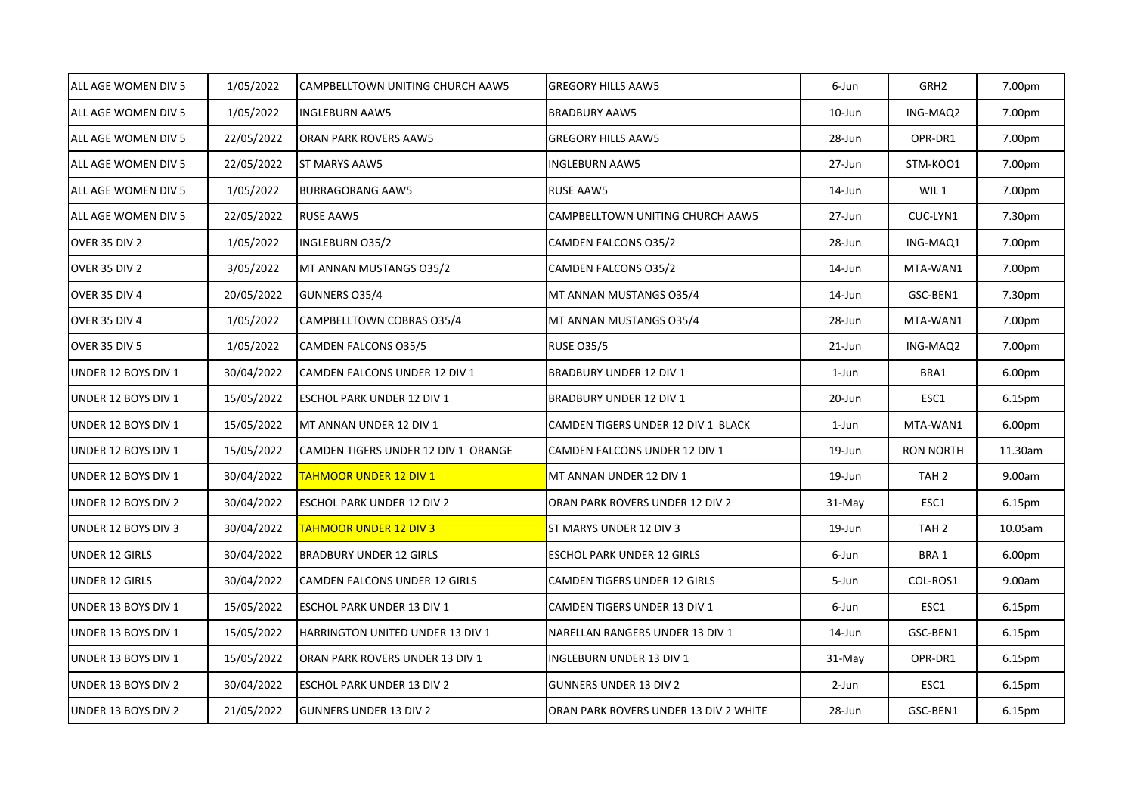| ALL AGE WOMEN DIV 5   | 1/05/2022  | CAMPBELLTOWN UNITING CHURCH AAW5    | <b>GREGORY HILLS AAW5</b>             | 6-Jun  | GRH <sub>2</sub> | 7.00pm             |
|-----------------------|------------|-------------------------------------|---------------------------------------|--------|------------------|--------------------|
| ALL AGE WOMEN DIV 5   | 1/05/2022  | <b>INGLEBURN AAW5</b>               | <b>BRADBURY AAW5</b>                  | 10-Jun | ING-MAQ2         | 7.00pm             |
| ALL AGE WOMEN DIV 5   | 22/05/2022 | ORAN PARK ROVERS AAW5               | <b>GREGORY HILLS AAW5</b>             | 28-Jun | OPR-DR1          | 7.00pm             |
| ALL AGE WOMEN DIV 5   | 22/05/2022 | <b>ST MARYS AAW5</b>                | <b>INGLEBURN AAW5</b>                 | 27-Jun | STM-KOO1         | 7.00pm             |
| ALL AGE WOMEN DIV 5   | 1/05/2022  | <b>BURRAGORANG AAW5</b>             | <b>RUSE AAW5</b>                      | 14-Jun | WIL <sub>1</sub> | 7.00pm             |
| ALL AGE WOMEN DIV 5   | 22/05/2022 | <b>RUSE AAW5</b>                    | CAMPBELLTOWN UNITING CHURCH AAW5      | 27-Jun | CUC-LYN1         | 7.30pm             |
| OVER 35 DIV 2         | 1/05/2022  | INGLEBURN 035/2                     | CAMDEN FALCONS 035/2                  | 28-Jun | ING-MAQ1         | 7.00pm             |
| OVER 35 DIV 2         | 3/05/2022  | MT ANNAN MUSTANGS 035/2             | CAMDEN FALCONS 035/2                  | 14-Jun | MTA-WAN1         | 7.00pm             |
| OVER 35 DIV 4         | 20/05/2022 | GUNNERS 035/4                       | MT ANNAN MUSTANGS 035/4               | 14-Jun | GSC-BEN1         | 7.30pm             |
| <b>OVER 35 DIV 4</b>  | 1/05/2022  | CAMPBELLTOWN COBRAS 035/4           | MT ANNAN MUSTANGS 035/4               | 28-Jun | MTA-WAN1         | 7.00pm             |
| OVER 35 DIV 5         | 1/05/2022  | CAMDEN FALCONS 035/5                | <b>RUSE 035/5</b>                     | 21-Jun | ING-MAQ2         | 7.00pm             |
| UNDER 12 BOYS DIV 1   | 30/04/2022 | CAMDEN FALCONS UNDER 12 DIV 1       | <b>BRADBURY UNDER 12 DIV 1</b>        | 1-Jun  | BRA1             | 6.00pm             |
| UNDER 12 BOYS DIV 1   | 15/05/2022 | ESCHOL PARK UNDER 12 DIV 1          | <b>BRADBURY UNDER 12 DIV 1</b>        | 20-Jun | ESC1             | 6.15pm             |
| UNDER 12 BOYS DIV 1   | 15/05/2022 | MT ANNAN UNDER 12 DIV 1             | CAMDEN TIGERS UNDER 12 DIV 1 BLACK    | 1-Jun  | MTA-WAN1         | 6.00 <sub>pm</sub> |
| UNDER 12 BOYS DIV 1   | 15/05/2022 | CAMDEN TIGERS UNDER 12 DIV 1 ORANGE | CAMDEN FALCONS UNDER 12 DIV 1         | 19-Jun | <b>RON NORTH</b> | 11.30am            |
| UNDER 12 BOYS DIV 1   | 30/04/2022 | <b>TAHMOOR UNDER 12 DIV 1</b>       | MT ANNAN UNDER 12 DIV 1               | 19-Jun | TAH 2            | 9.00am             |
| UNDER 12 BOYS DIV 2   | 30/04/2022 | ESCHOL PARK UNDER 12 DIV 2          | ORAN PARK ROVERS UNDER 12 DIV 2       | 31-May | ESC1             | 6.15pm             |
| UNDER 12 BOYS DIV 3   | 30/04/2022 | <b>TAHMOOR UNDER 12 DIV 3</b>       | ST MARYS UNDER 12 DIV 3               | 19-Jun | TAH <sub>2</sub> | 10.05am            |
| <b>UNDER 12 GIRLS</b> | 30/04/2022 | <b>BRADBURY UNDER 12 GIRLS</b>      | ESCHOL PARK UNDER 12 GIRLS            | 6-Jun  | BRA 1            | 6.00pm             |
| <b>UNDER 12 GIRLS</b> | 30/04/2022 | CAMDEN FALCONS UNDER 12 GIRLS       | CAMDEN TIGERS UNDER 12 GIRLS          | 5-Jun  | COL-ROS1         | 9.00am             |
| UNDER 13 BOYS DIV 1   | 15/05/2022 | ESCHOL PARK UNDER 13 DIV 1          | CAMDEN TIGERS UNDER 13 DIV 1          | 6-Jun  | ESC1             | 6.15pm             |
| UNDER 13 BOYS DIV 1   | 15/05/2022 | HARRINGTON UNITED UNDER 13 DIV 1    | NARELLAN RANGERS UNDER 13 DIV 1       | 14-Jun | GSC-BEN1         | 6.15pm             |
| UNDER 13 BOYS DIV 1   | 15/05/2022 | ORAN PARK ROVERS UNDER 13 DIV 1     | INGLEBURN UNDER 13 DIV 1              | 31-May | OPR-DR1          | 6.15pm             |
| UNDER 13 BOYS DIV 2   | 30/04/2022 | ESCHOL PARK UNDER 13 DIV 2          | <b>GUNNERS UNDER 13 DIV 2</b>         | 2-Jun  | ESC1             | 6.15pm             |
| UNDER 13 BOYS DIV 2   | 21/05/2022 | <b>GUNNERS UNDER 13 DIV 2</b>       | ORAN PARK ROVERS UNDER 13 DIV 2 WHITE | 28-Jun | GSC-BEN1         | 6.15pm             |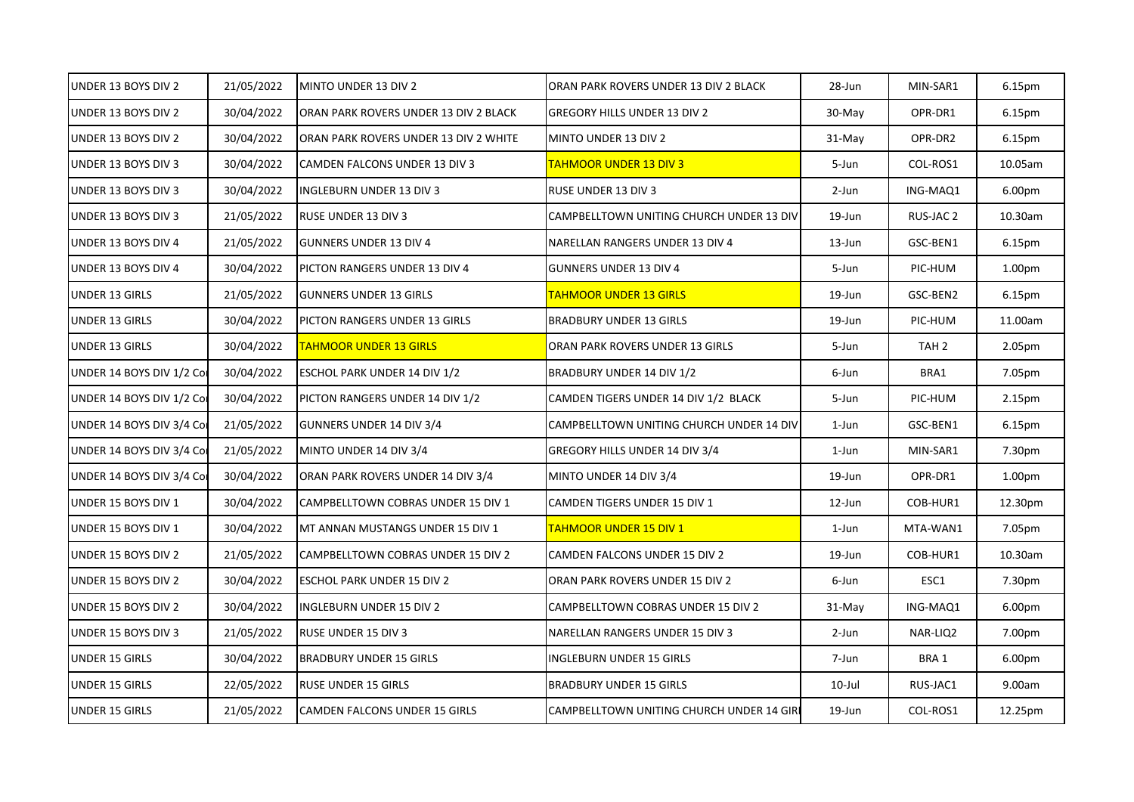| UNDER 13 BOYS DIV 2       | 21/05/2022 | MINTO UNDER 13 DIV 2                  | ORAN PARK ROVERS UNDER 13 DIV 2 BLACK     | 28-Jun    | MIN-SAR1         | 6.15pm             |
|---------------------------|------------|---------------------------------------|-------------------------------------------|-----------|------------------|--------------------|
| UNDER 13 BOYS DIV 2       | 30/04/2022 | ORAN PARK ROVERS UNDER 13 DIV 2 BLACK | <b>GREGORY HILLS UNDER 13 DIV 2</b>       | 30-May    | OPR-DR1          | 6.15pm             |
| UNDER 13 BOYS DIV 2       | 30/04/2022 | ORAN PARK ROVERS UNDER 13 DIV 2 WHITE | MINTO UNDER 13 DIV 2                      | 31-May    | OPR-DR2          | 6.15pm             |
| UNDER 13 BOYS DIV 3       | 30/04/2022 | CAMDEN FALCONS UNDER 13 DIV 3         | TAHMOOR UNDER 13 DIV 3                    | 5-Jun     | COL-ROS1         | 10.05am            |
| UNDER 13 BOYS DIV 3       | 30/04/2022 | <b>INGLEBURN UNDER 13 DIV 3</b>       | <b>RUSE UNDER 13 DIV 3</b>                | 2-Jun     | ING-MAQ1         | 6.00pm             |
| UNDER 13 BOYS DIV 3       | 21/05/2022 | <b>RUSE UNDER 13 DIV 3</b>            | CAMPBELLTOWN UNITING CHURCH UNDER 13 DIV  | 19-Jun    | RUS-JAC 2        | 10.30am            |
| UNDER 13 BOYS DIV 4       | 21/05/2022 | <b>GUNNERS UNDER 13 DIV 4</b>         | NARELLAN RANGERS UNDER 13 DIV 4           | 13-Jun    | GSC-BEN1         | 6.15pm             |
| UNDER 13 BOYS DIV 4       | 30/04/2022 | PICTON RANGERS UNDER 13 DIV 4         | <b>GUNNERS UNDER 13 DIV 4</b>             | 5-Jun     | PIC-HUM          | 1.00pm             |
| UNDER 13 GIRLS            | 21/05/2022 | <b>GUNNERS UNDER 13 GIRLS</b>         | <b>TAHMOOR UNDER 13 GIRLS</b>             | 19-Jun    | GSC-BEN2         | 6.15pm             |
| <b>UNDER 13 GIRLS</b>     | 30/04/2022 | PICTON RANGERS UNDER 13 GIRLS         | <b>BRADBURY UNDER 13 GIRLS</b>            | 19-Jun    | PIC-HUM          | 11.00am            |
| <b>UNDER 13 GIRLS</b>     | 30/04/2022 | <b>TAHMOOR UNDER 13 GIRLS</b>         | ORAN PARK ROVERS UNDER 13 GIRLS           | 5-Jun     | TAH <sub>2</sub> | 2.05pm             |
| UNDER 14 BOYS DIV 1/2 Cor | 30/04/2022 | <b>ESCHOL PARK UNDER 14 DIV 1/2</b>   | BRADBURY UNDER 14 DIV 1/2                 | 6-Jun     | BRA1             | 7.05pm             |
| UNDER 14 BOYS DIV 1/2 Cor | 30/04/2022 | PICTON RANGERS UNDER 14 DIV 1/2       | CAMDEN TIGERS UNDER 14 DIV 1/2 BLACK      | 5-Jun     | PIC-HUM          | 2.15pm             |
| UNDER 14 BOYS DIV 3/4 Cor | 21/05/2022 | <b>GUNNERS UNDER 14 DIV 3/4</b>       | CAMPBELLTOWN UNITING CHURCH UNDER 14 DIV  | 1-Jun     | GSC-BEN1         | 6.15pm             |
| UNDER 14 BOYS DIV 3/4 Cor | 21/05/2022 | MINTO UNDER 14 DIV 3/4                | GREGORY HILLS UNDER 14 DIV 3/4            | 1-Jun     | MIN-SAR1         | 7.30pm             |
| UNDER 14 BOYS DIV 3/4 Cor | 30/04/2022 | ORAN PARK ROVERS UNDER 14 DIV 3/4     | MINTO UNDER 14 DIV 3/4                    | 19-Jun    | OPR-DR1          | 1.00 <sub>pm</sub> |
| UNDER 15 BOYS DIV 1       | 30/04/2022 | CAMPBELLTOWN COBRAS UNDER 15 DIV 1    | CAMDEN TIGERS UNDER 15 DIV 1              | $12$ -Jun | COB-HUR1         | 12.30pm            |
| UNDER 15 BOYS DIV 1       | 30/04/2022 | MT ANNAN MUSTANGS UNDER 15 DIV 1      | <b>TAHMOOR UNDER 15 DIV 1</b>             | 1-Jun     | MTA-WAN1         | 7.05pm             |
| UNDER 15 BOYS DIV 2       | 21/05/2022 | CAMPBELLTOWN COBRAS UNDER 15 DIV 2    | CAMDEN FALCONS UNDER 15 DIV 2             | 19-Jun    | COB-HUR1         | 10.30am            |
| UNDER 15 BOYS DIV 2       | 30/04/2022 | <b>ESCHOL PARK UNDER 15 DIV 2</b>     | ORAN PARK ROVERS UNDER 15 DIV 2           | 6-Jun     | ESC1             | 7.30pm             |
| UNDER 15 BOYS DIV 2       | 30/04/2022 | <b>INGLEBURN UNDER 15 DIV 2</b>       | CAMPBELLTOWN COBRAS UNDER 15 DIV 2        | 31-May    | ING-MAQ1         | 6.00pm             |
| UNDER 15 BOYS DIV 3       | 21/05/2022 | <b>RUSE UNDER 15 DIV 3</b>            | NARELLAN RANGERS UNDER 15 DIV 3           | 2-Jun     | NAR-LIQ2         | 7.00pm             |
| UNDER 15 GIRLS            | 30/04/2022 | <b>BRADBURY UNDER 15 GIRLS</b>        | <b>INGLEBURN UNDER 15 GIRLS</b>           | 7-Jun     | BRA 1            | 6.00pm             |
| UNDER 15 GIRLS            | 22/05/2022 | <b>RUSE UNDER 15 GIRLS</b>            | <b>BRADBURY UNDER 15 GIRLS</b>            | $10$ -Jul | RUS-JAC1         | 9.00am             |
| <b>UNDER 15 GIRLS</b>     | 21/05/2022 | CAMDEN FALCONS UNDER 15 GIRLS         | CAMPBELLTOWN UNITING CHURCH UNDER 14 GIRI | 19-Jun    | COL-ROS1         | 12.25pm            |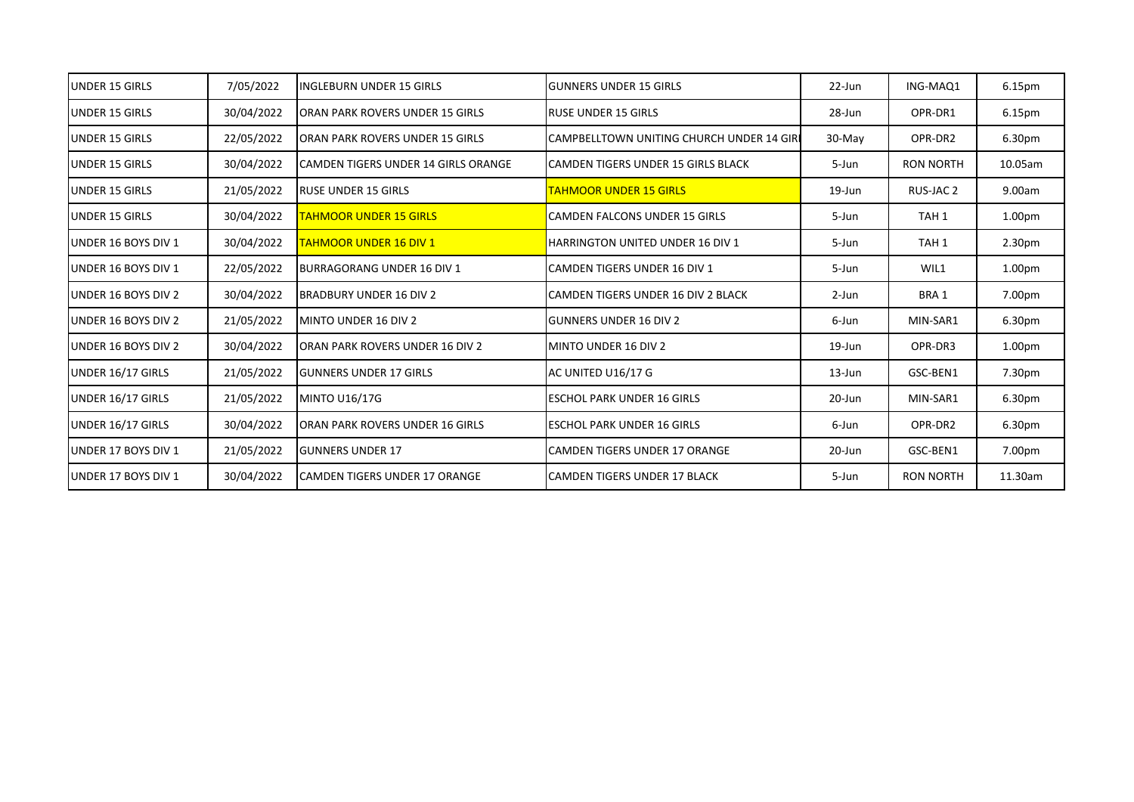| <b>UNDER 15 GIRLS</b>       | 7/05/2022  | INGLEBURN UNDER 15 GIRLS             | <b>IGUNNERS UNDER 15 GIRLS</b>             | $22$ -Jun | ING-MAQ1         | 6.15pm             |
|-----------------------------|------------|--------------------------------------|--------------------------------------------|-----------|------------------|--------------------|
| <b>UNDER 15 GIRLS</b>       | 30/04/2022 | ORAN PARK ROVERS UNDER 15 GIRLS      | <b>RUSE UNDER 15 GIRLS</b>                 | 28-Jun    | OPR-DR1          | 6.15pm             |
| <b>UNDER 15 GIRLS</b>       | 22/05/2022 | ORAN PARK ROVERS UNDER 15 GIRLS      | CAMPBELLTOWN UNITING CHURCH UNDER 14 GIRI  | $30-Mav$  | OPR-DR2          | 6.30pm             |
| <b>JUNDER 15 GIRLS</b>      | 30/04/2022 | CAMDEN TIGERS UNDER 14 GIRLS ORANGE  | <b>ICAMDEN TIGERS UNDER 15 GIRLS BLACK</b> | 5-Jun     | <b>RON NORTH</b> | 10.05am            |
| <b>UNDER 15 GIRLS</b>       | 21/05/2022 | <b>RUSE UNDER 15 GIRLS</b>           | TAHMOOR UNDER 15 GIRLS                     | 19-Jun    | RUS-JAC 2        | 9.00am             |
| <b>UNDER 15 GIRLS</b>       | 30/04/2022 | <b>TAHMOOR UNDER 15 GIRLS</b>        | <b>CAMDEN FALCONS UNDER 15 GIRLS</b>       | 5-Jun     | TAH <sub>1</sub> | 1.00 <sub>pm</sub> |
| <b>UNDER 16 BOYS DIV 1</b>  | 30/04/2022 | <b>TAHMOOR UNDER 16 DIV 1</b>        | <b>HARRINGTON UNITED UNDER 16 DIV 1</b>    | 5-Jun     | TAH <sub>1</sub> | 2.30pm             |
| UNDER 16 BOYS DIV 1         | 22/05/2022 | <b>BURRAGORANG UNDER 16 DIV 1</b>    | CAMDEN TIGERS UNDER 16 DIV 1               | 5-Jun     | WIL1             | 1.00 <sub>pm</sub> |
| <b>UNDER 16 BOYS DIV 2</b>  | 30/04/2022 | <b>BRADBURY UNDER 16 DIV 2</b>       | ICAMDEN TIGERS UNDER 16 DIV 2 BLACK        | $2$ -Jun  | BRA 1            | 7.00pm             |
| <b>UNDER 16 BOYS DIV 2</b>  | 21/05/2022 | MINTO UNDER 16 DIV 2                 | <b>GUNNERS UNDER 16 DIV 2</b>              | 6-Jun     | MIN-SAR1         | 6.30pm             |
| <b>UNDER 16 BOYS DIV 2</b>  | 30/04/2022 | ORAN PARK ROVERS UNDER 16 DIV 2      | MINTO UNDER 16 DIV 2                       | $19$ -Jun | OPR-DR3          | 1.00 <sub>pm</sub> |
| UNDER 16/17 GIRLS           | 21/05/2022 | <b>GUNNERS UNDER 17 GIRLS</b>        | AC UNITED U16/17 G                         | $13$ -Jun | GSC-BEN1         | 7.30pm             |
| UNDER 16/17 GIRLS           | 21/05/2022 | MINTO U16/17G                        | <b>ESCHOL PARK UNDER 16 GIRLS</b>          | 20-Jun    | MIN-SAR1         | 6.30pm             |
| UNDER 16/17 GIRLS           | 30/04/2022 | ORAN PARK ROVERS UNDER 16 GIRLS      | ESCHOL PARK UNDER 16 GIRLS                 | 6-Jun     | OPR-DR2          | 6.30pm             |
| <b>JUNDER 17 BOYS DIV 1</b> | 21/05/2022 | <b>GUNNERS UNDER 17</b>              | <b>ICAMDEN TIGERS UNDER 17 ORANGE</b>      | 20-Jun    | GSC-BEN1         | 7.00pm             |
| <b>UNDER 17 BOYS DIV 1</b>  | 30/04/2022 | <b>CAMDEN TIGERS UNDER 17 ORANGE</b> | <b>CAMDEN TIGERS UNDER 17 BLACK</b>        | 5-Jun     | <b>RON NORTH</b> | 11.30am            |